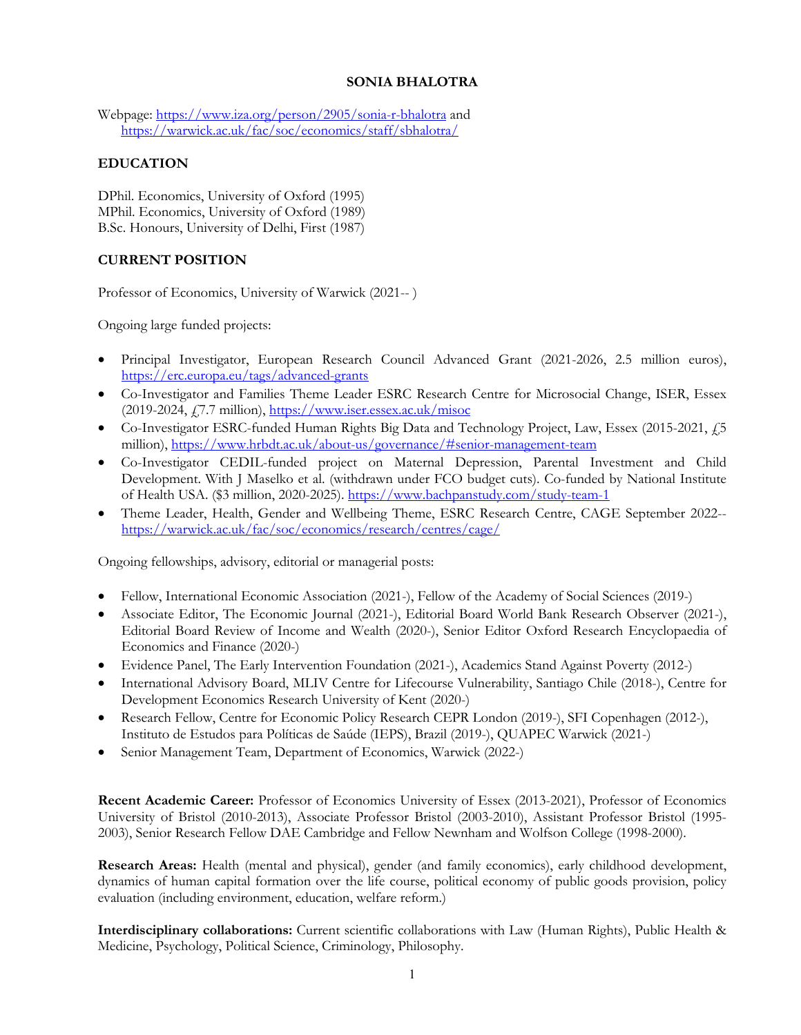# **SONIA BHALOTRA**

Webpage: https://www.iza.org/person/2905/sonia-r-bhalotra and https://warwick.ac.uk/fac/soc/economics/staff/sbhalotra/

# **EDUCATION**

DPhil. Economics, University of Oxford (1995) MPhil. Economics, University of Oxford (1989) B.Sc. Honours, University of Delhi, First (1987)

# **CURRENT POSITION**

Professor of Economics, University of Warwick (2021-- )

Ongoing large funded projects:

- Principal Investigator, European Research Council Advanced Grant (2021-2026, 2.5 million euros), https://erc.europa.eu/tags/advanced-grants
- Co-Investigator and Families Theme Leader ESRC Research Centre for Microsocial Change, ISER, Essex (2019-2024, £7.7 million), https://www.iser.essex.ac.uk/misoc
- Co-Investigator ESRC-funded Human Rights Big Data and Technology Project, Law, Essex (2015-2021, 45) million), https://www.hrbdt.ac.uk/about-us/governance/#senior-management-team
- Co-Investigator CEDIL-funded project on Maternal Depression, Parental Investment and Child Development. With J Maselko et al. (withdrawn under FCO budget cuts). Co-funded by National Institute of Health USA. (\$3 million, 2020-2025). https://www.bachpanstudy.com/study-team-1
- Theme Leader, Health, Gender and Wellbeing Theme, ESRC Research Centre, CAGE September 2022- https://warwick.ac.uk/fac/soc/economics/research/centres/cage/

Ongoing fellowships, advisory, editorial or managerial posts:

- Fellow, International Economic Association (2021-), Fellow of the Academy of Social Sciences (2019-)
- Associate Editor, The Economic Journal (2021-), Editorial Board World Bank Research Observer (2021-), Editorial Board Review of Income and Wealth (2020-), Senior Editor Oxford Research Encyclopaedia of Economics and Finance (2020-)
- Evidence Panel, The Early Intervention Foundation (2021-), Academics Stand Against Poverty (2012-)
- International Advisory Board, MLIV Centre for Lifecourse Vulnerability, Santiago Chile (2018-), Centre for Development Economics Research University of Kent (2020-)
- Research Fellow, Centre for Economic Policy Research CEPR London (2019-), SFI Copenhagen (2012-), Instituto de Estudos para Políticas de Saúde (IEPS), Brazil (2019-), QUAPEC Warwick (2021-)
- Senior Management Team, Department of Economics, Warwick (2022-)

**Recent Academic Career:** Professor of Economics University of Essex (2013-2021), Professor of Economics University of Bristol (2010-2013), Associate Professor Bristol (2003-2010), Assistant Professor Bristol (1995- 2003), Senior Research Fellow DAE Cambridge and Fellow Newnham and Wolfson College (1998-2000).

**Research Areas:** Health (mental and physical), gender (and family economics), early childhood development, dynamics of human capital formation over the life course, political economy of public goods provision, policy evaluation (including environment, education, welfare reform.)

**Interdisciplinary collaborations:** Current scientific collaborations with Law (Human Rights), Public Health & Medicine, Psychology, Political Science, Criminology, Philosophy.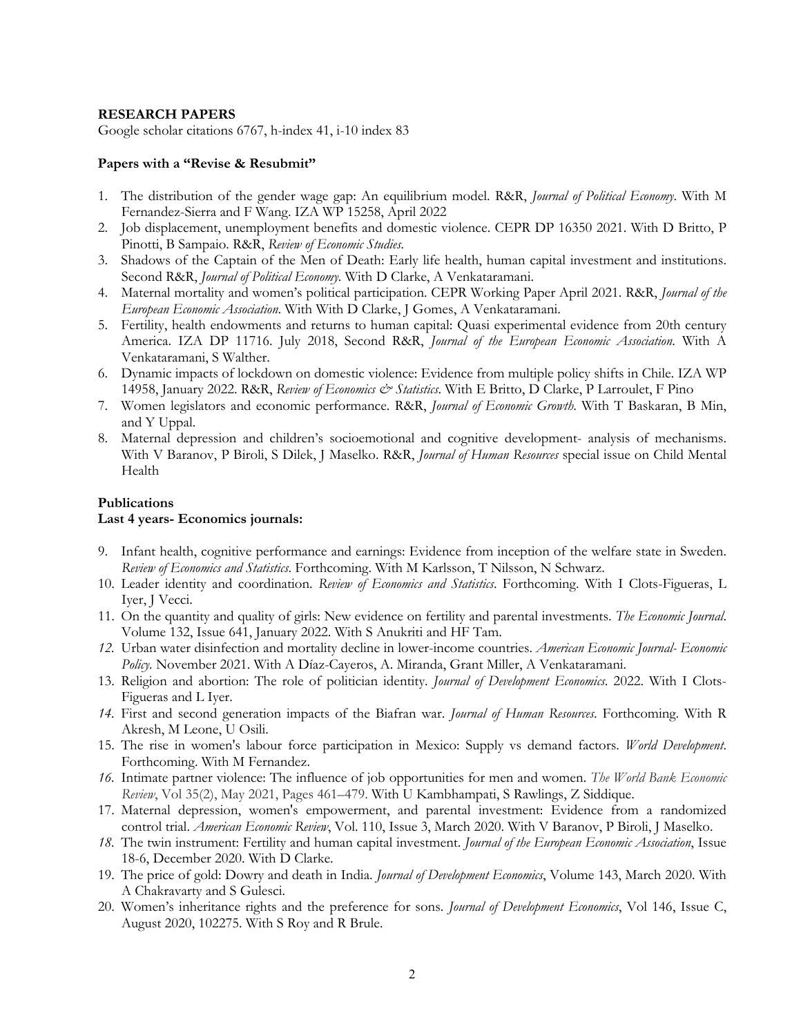#### **RESEARCH PAPERS**

Google scholar citations 6767, h-index 41, i-10 index 83

#### **Papers with a "Revise & Resubmit"**

- 1. The distribution of the gender wage gap: An equilibrium model. R&R, *Journal of Political Economy*. With M Fernandez-Sierra and F Wang. IZA WP 15258, April 2022
- 2. Job displacement, unemployment benefits and domestic violence. CEPR DP 16350 2021. With D Britto, P Pinotti, B Sampaio. R&R, *Review of Economic Studies.*
- 3. Shadows of the Captain of the Men of Death: Early life health, human capital investment and institutions. Second R&R, *Journal of Political Economy*. With D Clarke, A Venkataramani.
- 4. Maternal mortality and women's political participation. CEPR Working Paper April 2021. R&R, *Journal of the European Economic Association*. With With D Clarke, J Gomes, A Venkataramani.
- 5. Fertility, health endowments and returns to human capital: Quasi experimental evidence from 20th century America. IZA DP 11716. July 2018, Second R&R, *Journal of the European Economic Association*. With A Venkataramani, S Walther.
- 6. Dynamic impacts of lockdown on domestic violence: Evidence from multiple policy shifts in Chile. IZA WP 14958, January 2022. R&R, *Review of Economics & Statistics*. With E Britto, D Clarke, P Larroulet, F Pino
- 7. Women legislators and economic performance. R&R, *Journal of Economic Growth*. With T Baskaran, B Min, and Y Uppal.
- 8. Maternal depression and children's socioemotional and cognitive development- analysis of mechanisms. With V Baranov, P Biroli, S Dilek, J Maselko. R&R, *Journal of Human Resources* special issue on Child Mental Health

#### **Publications**

#### **Last 4 years- Economics journals:**

- 9. Infant health, cognitive performance and earnings: Evidence from inception of the welfare state in Sweden. *Review of Economics and Statistics*. Forthcoming. With M Karlsson, T Nilsson, N Schwarz.
- 10. Leader identity and coordination. *Review of Economics and Statistics*. Forthcoming. With I Clots-Figueras, L Iyer, J Vecci.
- 11. On the quantity and quality of girls: New evidence on fertility and parental investments. *The Economic Journal*. Volume 132, Issue 641, January 2022. With S Anukriti and HF Tam.
- *12.* Urban water disinfection and mortality decline in lower-income countries. *American Economic Journal- Economic Policy.* November 2021. With A Díaz-Cayeros, A. Miranda, Grant Miller, A Venkataramani.
- 13. Religion and abortion: The role of politician identity. *Journal of Development Economics*. 2022. With I Clots-Figueras and L Iyer.
- *14.* First and second generation impacts of the Biafran war. *Journal of Human Resources*. Forthcoming. With R Akresh, M Leone, U Osili.
- 15. The rise in women's labour force participation in Mexico: Supply vs demand factors. *World Development*. Forthcoming. With M Fernandez.
- *16.* Intimate partner violence: The influence of job opportunities for men and women. *The World Bank Economic Review*, Vol 35(2), May 2021, Pages 461–479. With U Kambhampati, S Rawlings, Z Siddique.
- 17. Maternal depression, women's empowerment, and parental investment: Evidence from a randomized control trial. *American Economic Review*, Vol. 110, Issue 3, March 2020. With V Baranov, P Biroli, J Maselko.
- *18.* The twin instrument: Fertility and human capital investment. *Journal of the European Economic Association*, Issue 18-6, December 2020. With D Clarke.
- 19. The price of gold: Dowry and death in India. *Journal of Development Economics*, Volume 143, March 2020. With A Chakravarty and S Gulesci.
- 20. Women's inheritance rights and the preference for sons. *Journal of Development Economics*, Vol 146, Issue C, August 2020, 102275. With S Roy and R Brule.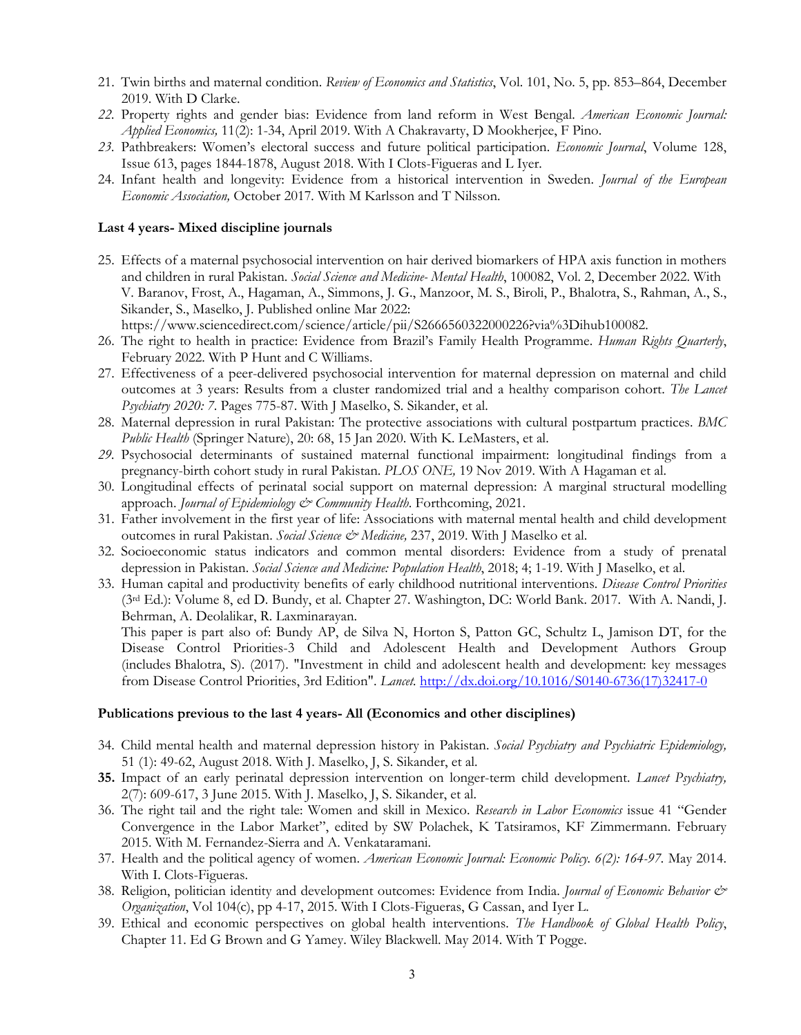- 21. Twin births and maternal condition. *Review of Economics and Statistics*, Vol. 101, No. 5, pp. 853–864, December 2019. With D Clarke.
- *22.* Property rights and gender bias: Evidence from land reform in West Bengal. *American Economic Journal: Applied Economics,* 11(2): 1-34, April 2019. With A Chakravarty, D Mookherjee, F Pino.
- *23.* Pathbreakers: Women's electoral success and future political participation. *Economic Journal*, Volume 128, Issue 613, pages 1844-1878, August 2018. With I Clots-Figueras and L Iyer.
- 24. Infant health and longevity: Evidence from a historical intervention in Sweden. *Journal of the European Economic Association,* October 2017*.* With M Karlsson and T Nilsson.

#### **Last 4 years- Mixed discipline journals**

25. Effects of a maternal psychosocial intervention on hair derived biomarkers of HPA axis function in mothers and children in rural Pakistan. *Social Science and Medicine- Mental Health*, 100082, Vol. 2, December 2022. With V. Baranov, Frost, A., Hagaman, A., Simmons, J. G., Manzoor, M. S., Biroli, P., Bhalotra, S., Rahman, A., S., Sikander, S., Maselko, J. Published online Mar 2022:

https://www.sciencedirect.com/science/article/pii/S2666560322000226?via%3Dihub100082.

- 26. The right to health in practice: Evidence from Brazil's Family Health Programme. *Human Rights Quarterly*, February 2022. With P Hunt and C Williams.
- 27. Effectiveness of a peer-delivered psychosocial intervention for maternal depression on maternal and child outcomes at 3 years: Results from a cluster randomized trial and a healthy comparison cohort. *The Lancet Psychiatry 2020: 7*. Pages 775-87. With J Maselko, S. Sikander, et al.
- 28. Maternal depression in rural Pakistan: The protective associations with cultural postpartum practices. *BMC Public Health* (Springer Nature), 20: 68, 15 Jan 2020. With K. LeMasters, et al.
- *29.* Psychosocial determinants of sustained maternal functional impairment: longitudinal findings from a pregnancy-birth cohort study in rural Pakistan. *PLOS ONE,* 19 Nov 2019. With A Hagaman et al.
- 30. Longitudinal effects of perinatal social support on maternal depression: A marginal structural modelling approach. *Journal of Epidemiology & Community Health*. Forthcoming, 2021.
- 31. Father involvement in the first year of life: Associations with maternal mental health and child development outcomes in rural Pakistan. *Social Science & Medicine,* 237, 2019. With J Maselko et al.
- 32. Socioeconomic status indicators and common mental disorders: Evidence from a study of prenatal depression in Pakistan. *Social Science and Medicine: Population Health*, 2018; 4; 1-19. With J Maselko, et al.
- 33. Human capital and productivity benefits of early childhood nutritional interventions. *Disease Control Priorities* (3rd Ed.): Volume 8, ed D. Bundy, et al. Chapter 27. Washington, DC: World Bank. 2017. With A. Nandi, J. Behrman, A. Deolalikar, R. Laxminarayan.

This paper is part also of: Bundy AP, de Silva N, Horton S, Patton GC, Schultz L, Jamison DT, for the Disease Control Priorities-3 Child and Adolescent Health and Development Authors Group (includes Bhalotra, S). (2017). "Investment in child and adolescent health and development: key messages from Disease Control Priorities, 3rd Edition". *Lancet.* http://dx.doi.org/10.1016/S0140-6736(17)32417-0

#### **Publications previous to the last 4 years- All (Economics and other disciplines)**

- 34. Child mental health and maternal depression history in Pakistan. *Social Psychiatry and Psychiatric Epidemiology,* 51 (1): 49-62, August 2018. With J. Maselko, J, S. Sikander, et al.
- **35.** Impact of an early perinatal depression intervention on longer-term child development. *Lancet Psychiatry,* 2(7): 609-617, 3 June 2015. With J. Maselko, J, S. Sikander, et al.
- 36. The right tail and the right tale: Women and skill in Mexico. *Research in Labor Economics* issue 41 "Gender Convergence in the Labor Market", edited by SW Polachek, K Tatsiramos, KF Zimmermann. February 2015. With M. Fernandez-Sierra and A. Venkataramani.
- 37. Health and the political agency of women. *American Economic Journal: Economic Policy. 6(2): 164-97.* May 2014. With I. Clots-Figueras.
- 38. Religion, politician identity and development outcomes: Evidence from India. *Journal of Economic Behavior & Organization*, Vol 104(c), pp 4-17, 2015. With I Clots-Figueras, G Cassan, and Iyer L.
- 39. Ethical and economic perspectives on global health interventions. *The Handbook of Global Health Policy*, Chapter 11. Ed G Brown and G Yamey. Wiley Blackwell. May 2014. With T Pogge.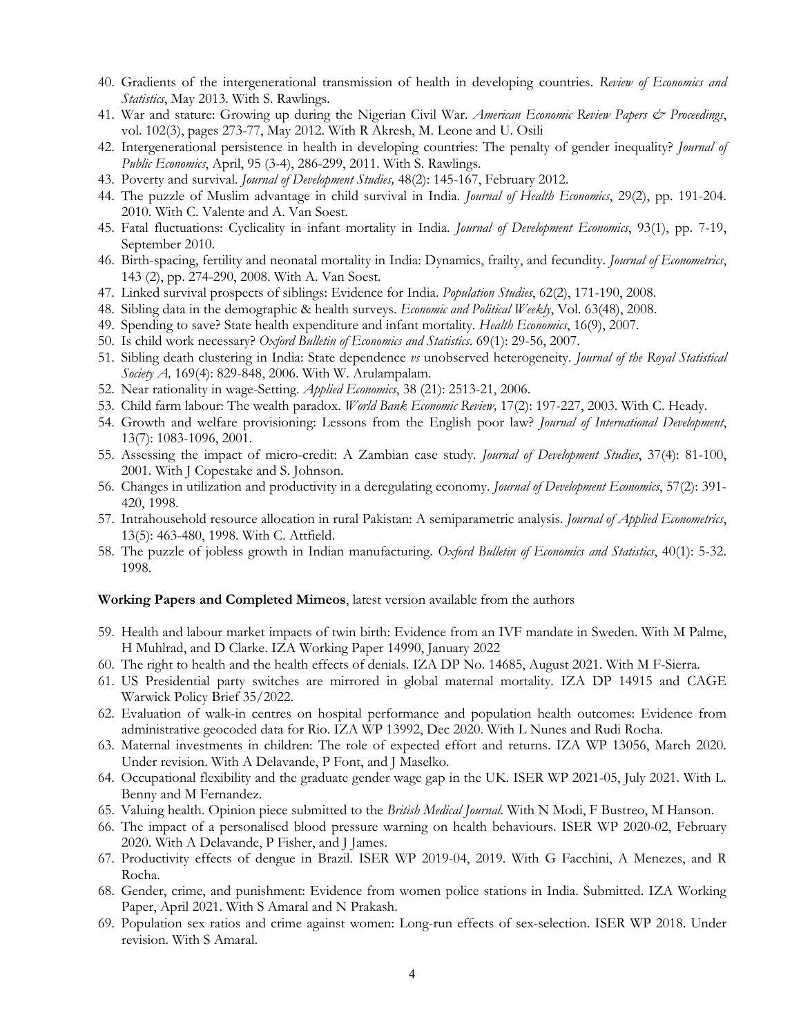- 40. Gradients of the intergenerational transmission of health in developing countries. *Review of Economics and Statistics*, May 2013. With S. Rawlings.
- 41. War and stature: Growing up during the Nigerian Civil War. *American Economic Review Papers & Proceedings*, vol. 102(3), pages 273-77, May 2012. With R Akresh, M. Leone and U. Osili
- 42. Intergenerational persistence in health in developing countries: The penalty of gender inequality? *Journal of Public Economics*, April, 95 (3-4), 286-299, 2011. With S. Rawlings.
- 43. Poverty and survival. *Journal of Development Studies,* 48(2): 145-167, February 2012.
- 44. The puzzle of Muslim advantage in child survival in India. *Journal of Health Economics*, 29(2), pp. 191-204. 2010. With C. Valente and A. Van Soest.
- 45. Fatal fluctuations: Cyclicality in infant mortality in India. *Journal of Development Economics*, 93(1), pp. 7-19, September 2010.
- 46. Birth-spacing, fertility and neonatal mortality in India: Dynamics, frailty, and fecundity. *Journal of Econometrics*, 143 (2), pp. 274-290, 2008. With A. Van Soest.
- 47. Linked survival prospects of siblings: Evidence for India. *Population Studies*, 62(2), 171-190, 2008.
- 48. Sibling data in the demographic & health surveys. *Economic and Political Weekly*, Vol. 63(48), 2008.
- 49. Spending to save? State health expenditure and infant mortality. *Health Economics*, 16(9), 2007.
- 50. Is child work necessary? *Oxford Bulletin of Economics and Statistics*. 69(1): 29-56, 2007.
- 51. Sibling death clustering in India: State dependence *vs* unobserved heterogeneity. *Journal of the Royal Statistical Society A,* 169(4): 829-848, 2006. With W. Arulampalam.
- 52. Near rationality in wage-Setting. *Applied Economics*, 38 (21): 2513-21, 2006.
- 53. Child farm labour: The wealth paradox. *World Bank Economic Review,* 17(2): 197-227, 2003. With C. Heady.
- 54. Growth and welfare provisioning: Lessons from the English poor law? *Journal of International Development*, 13(7): 1083-1096, 2001.
- 55. Assessing the impact of micro-credit: A Zambian case study. *Journal of Development Studies*, 37(4): 81-100, 2001. With J Copestake and S. Johnson.
- 56. Changes in utilization and productivity in a deregulating economy. *Journal of Development Economics*, 57(2): 391- 420, 1998.
- 57. Intrahousehold resource allocation in rural Pakistan: A semiparametric analysis. *Journal of Applied Econometrics*, 13(5): 463-480, 1998. With C. Attfield.
- 58. The puzzle of jobless growth in Indian manufacturing. *Oxford Bulletin of Economics and Statistics*, 40(1): 5-32. 1998.

#### **Working Papers and Completed Mimeos**, latest version available from the authors

- 59. Health and labour market impacts of twin birth: Evidence from an IVF mandate in Sweden. With M Palme, H Muhlrad, and D Clarke. IZA Working Paper 14990, January 2022
- 60. The right to health and the health effects of denials. IZA DP No. 14685, August 2021. With M F-Sierra.
- 61. US Presidential party switches are mirrored in global maternal mortality. IZA DP 14915 and CAGE Warwick Policy Brief 35/2022.
- 62. Evaluation of walk-in centres on hospital performance and population health outcomes: Evidence from administrative geocoded data for Rio. IZA WP 13992, Dec 2020. With L Nunes and Rudi Rocha.
- 63. Maternal investments in children: The role of expected effort and returns. IZA WP 13056, March 2020. Under revision. With A Delavande, P Font, and J Maselko.
- 64. Occupational flexibility and the graduate gender wage gap in the UK. ISER WP 2021-05, July 2021. With L. Benny and M Fernandez.
- 65. Valuing health. Opinion piece submitted to the *British Medical Journal*. With N Modi, F Bustreo, M Hanson.
- 66. The impact of a personalised blood pressure warning on health behaviours. ISER WP 2020-02, February 2020. With A Delavande, P Fisher, and J James.
- 67. Productivity effects of dengue in Brazil. ISER WP 2019-04, 2019. With G Facchini, A Menezes, and R Rocha.
- 68. Gender, crime, and punishment: Evidence from women police stations in India. Submitted. IZA Working Paper, April 2021. With S Amaral and N Prakash.
- 69. Population sex ratios and crime against women: Long-run effects of sex-selection. ISER WP 2018. Under revision. With S Amaral.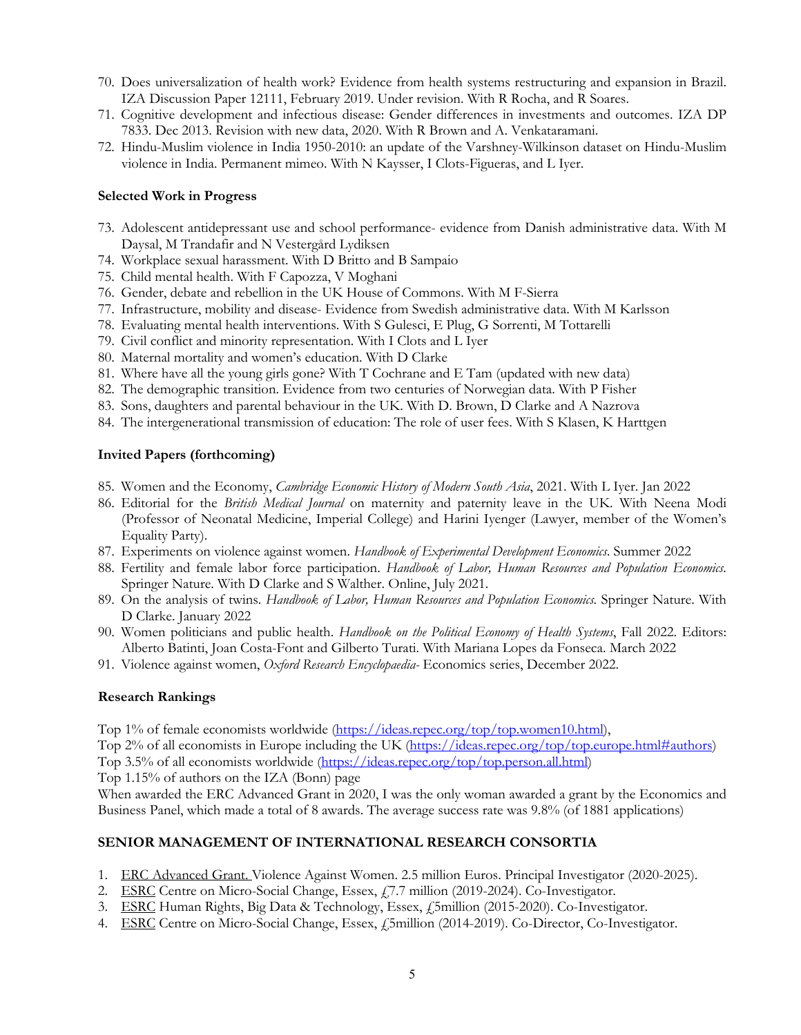- 70. Does universalization of health work? Evidence from health systems restructuring and expansion in Brazil. IZA Discussion Paper 12111, February 2019. Under revision. With R Rocha, and R Soares.
- 71. Cognitive development and infectious disease: Gender differences in investments and outcomes. IZA DP 7833. Dec 2013. Revision with new data, 2020. With R Brown and A. Venkataramani.
- 72. Hindu-Muslim violence in India 1950-2010: an update of the Varshney-Wilkinson dataset on Hindu-Muslim violence in India. Permanent mimeo. With N Kaysser, I Clots-Figueras, and L Iyer.

#### **Selected Work in Progress**

- 73. Adolescent antidepressant use and school performance- evidence from Danish administrative data. With M Daysal, M Trandafir and N Vestergård Lydiksen
- 74. Workplace sexual harassment. With D Britto and B Sampaio
- 75. Child mental health. With F Capozza, V Moghani
- 76. Gender, debate and rebellion in the UK House of Commons. With M F-Sierra
- 77. Infrastructure, mobility and disease- Evidence from Swedish administrative data. With M Karlsson
- 78. Evaluating mental health interventions. With S Gulesci, E Plug, G Sorrenti, M Tottarelli
- 79. Civil conflict and minority representation. With I Clots and L Iyer
- 80. Maternal mortality and women's education. With D Clarke
- 81. Where have all the young girls gone? With T Cochrane and E Tam (updated with new data)
- 82. The demographic transition. Evidence from two centuries of Norwegian data. With P Fisher
- 83. Sons, daughters and parental behaviour in the UK. With D. Brown, D Clarke and A Nazrova
- 84. The intergenerational transmission of education: The role of user fees. With S Klasen, K Harttgen

## **Invited Papers (forthcoming)**

- 85. Women and the Economy, *Cambridge Economic History of Modern South Asia*, 2021. With L Iyer. Jan 2022
- 86. Editorial for the *British Medical Journal* on maternity and paternity leave in the UK. With Neena Modi (Professor of Neonatal Medicine, Imperial College) and Harini Iyenger (Lawyer, member of the Women's Equality Party).
- 87. Experiments on violence against women. *Handbook of Experimental Development Economics*. Summer 2022
- 88. Fertility and female labor force participation. *Handbook of Labor, Human Resources and Population Economics.* Springer Nature. With D Clarke and S Walther. Online, July 2021.
- 89. On the analysis of twins. *Handbook of Labor, Human Resources and Population Economics.* Springer Nature. With D Clarke. January 2022
- 90. Women politicians and public health. *Handbook on the Political Economy of Health Systems*, Fall 2022. Editors: Alberto Batinti, Joan Costa-Font and Gilberto Turati. With Mariana Lopes da Fonseca. March 2022
- 91. Violence against women, *Oxford Research Encyclopaedia-* Economics series, December 2022.

## **Research Rankings**

Top 1% of female economists worldwide (https://ideas.repec.org/top/top.women10.html),

Top 2% of all economists in Europe including the UK (https://ideas.repec.org/top/top.europe.html#authors)

Top 3.5% of all economists worldwide (https://ideas.repec.org/top/top.person.all.html)

Top 1.15% of authors on the IZA (Bonn) page

When awarded the ERC Advanced Grant in 2020, I was the only woman awarded a grant by the Economics and Business Panel, which made a total of 8 awards. The average success rate was 9.8% (of 1881 applications)

## **SENIOR MANAGEMENT OF INTERNATIONAL RESEARCH CONSORTIA**

- 1. ERC Advanced Grant. Violence Against Women. 2.5 million Euros. Principal Investigator (2020-2025).
- 2. ESRC Centre on Micro-Social Change, Essex, £7.7 million (2019-2024). Co-Investigator.
- 3. ESRC Human Rights, Big Data & Technology, Essex, £5million (2015-2020). Co-Investigator.
- 4. ESRC Centre on Micro-Social Change, Essex, £5million (2014-2019). Co-Director, Co-Investigator.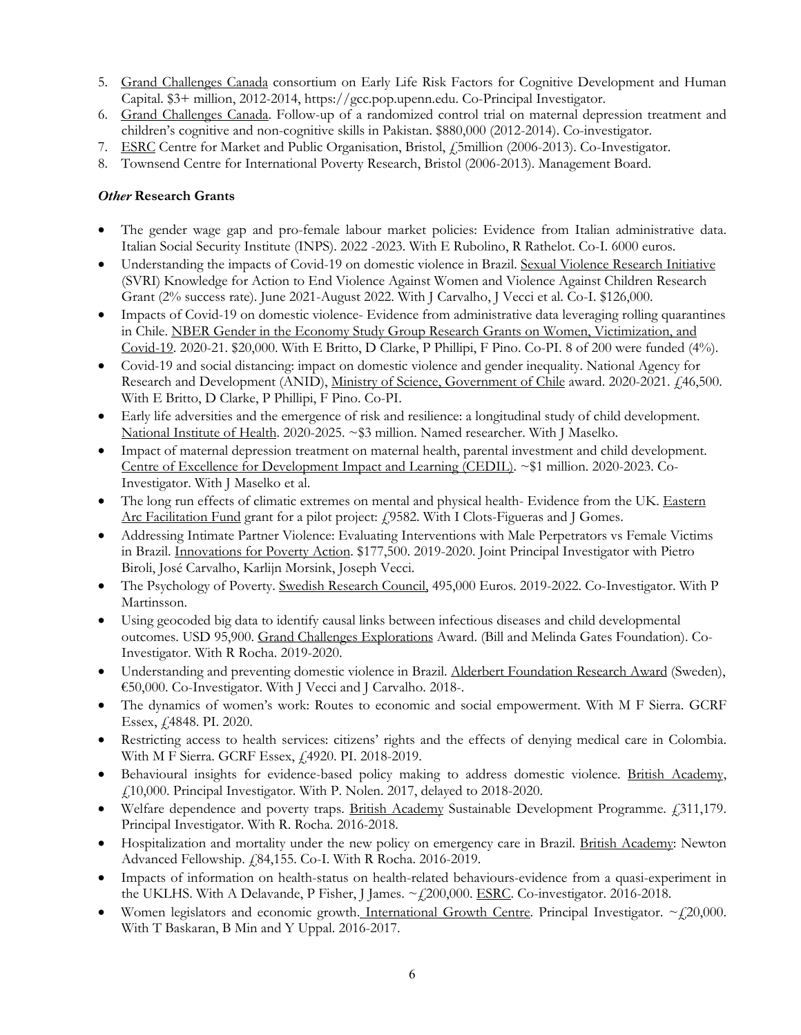- 5. Grand Challenges Canada consortium on Early Life Risk Factors for Cognitive Development and Human Capital. \$3+ million, 2012-2014, https://gcc.pop.upenn.edu. Co-Principal Investigator.
- 6. Grand Challenges Canada. Follow-up of a randomized control trial on maternal depression treatment and children's cognitive and non-cognitive skills in Pakistan. \$880,000 (2012-2014). Co-investigator.
- 7. ESRC Centre for Market and Public Organisation, Bristol, £5million (2006-2013). Co-Investigator.
- 8. Townsend Centre for International Poverty Research, Bristol (2006-2013). Management Board.

## *Other* **Research Grants**

- The gender wage gap and pro-female labour market policies: Evidence from Italian administrative data. Italian Social Security Institute (INPS). 2022 -2023. With E Rubolino, R Rathelot. Co-I. 6000 euros.
- Understanding the impacts of Covid-19 on domestic violence in Brazil. Sexual Violence Research Initiative (SVRI) Knowledge for Action to End Violence Against Women and Violence Against Children Research Grant (2% success rate). June 2021-August 2022. With J Carvalho, J Vecci et al. Co-I. \$126,000.
- Impacts of Covid-19 on domestic violence- Evidence from administrative data leveraging rolling quarantines in Chile. NBER Gender in the Economy Study Group Research Grants on Women, Victimization, and Covid-19. 2020-21. \$20,000. With E Britto, D Clarke, P Phillipi, F Pino. Co-PI. 8 of 200 were funded (4%).
- Covid-19 and social distancing: impact on domestic violence and gender inequality. National Agency for Research and Development (ANID), Ministry of Science, Government of Chile award. 2020-2021. £46,500. With E Britto, D Clarke, P Phillipi, F Pino. Co-PI.
- Early life adversities and the emergence of risk and resilience: a longitudinal study of child development. National Institute of Health. 2020-2025. ~\$3 million. Named researcher. With J Maselko.
- Impact of maternal depression treatment on maternal health, parental investment and child development. Centre of Excellence for Development Impact and Learning (CEDIL). ~\$1 million. 2020-2023. Co-Investigator. With J Maselko et al.
- The long run effects of climatic extremes on mental and physical health- Evidence from the UK. Eastern Arc Facilitation Fund grant for a pilot project: £9582. With I Clots-Figueras and J Gomes.
- Addressing Intimate Partner Violence: Evaluating Interventions with Male Perpetrators vs Female Victims in Brazil. Innovations for Poverty Action. \$177,500. 2019-2020. Joint Principal Investigator with Pietro Biroli, José Carvalho, Karlijn Morsink, Joseph Vecci.
- The Psychology of Poverty. Swedish Research Council, 495,000 Euros. 2019-2022. Co-Investigator. With P Martinsson.
- Using geocoded big data to identify causal links between infectious diseases and child developmental outcomes. USD 95,900. Grand Challenges Explorations Award. (Bill and Melinda Gates Foundation). Co-Investigator. With R Rocha. 2019-2020.
- Understanding and preventing domestic violence in Brazil. Alderbert Foundation Research Award (Sweden), €50,000. Co-Investigator. With J Vecci and J Carvalho. 2018-.
- The dynamics of women's work: Routes to economic and social empowerment. With M F Sierra. GCRF Essex, £4848. PI. 2020.
- Restricting access to health services: citizens' rights and the effects of denying medical care in Colombia. With M F Sierra. GCRF Essex, £4920. PI. 2018-2019.
- Behavioural insights for evidence-based policy making to address domestic violence. British Academy, £10,000. Principal Investigator. With P. Nolen. 2017, delayed to 2018-2020.
- Welfare dependence and poverty traps. British Academy Sustainable Development Programme. £311,179. Principal Investigator. With R. Rocha. 2016-2018.
- Hospitalization and mortality under the new policy on emergency care in Brazil. British Academy: Newton Advanced Fellowship. £84,155. Co-I. With R Rocha. 2016-2019.
- Impacts of information on health-status on health-related behaviours-evidence from a quasi-experiment in the UKLHS. With A Delavande, P Fisher, J James.  $\sim$  (200,000. ESRC. Co-investigator. 2016-2018.
- Women legislators and economic growth. International Growth Centre. Principal Investigator.  $\sim$  (20,000. With T Baskaran, B Min and Y Uppal. 2016-2017.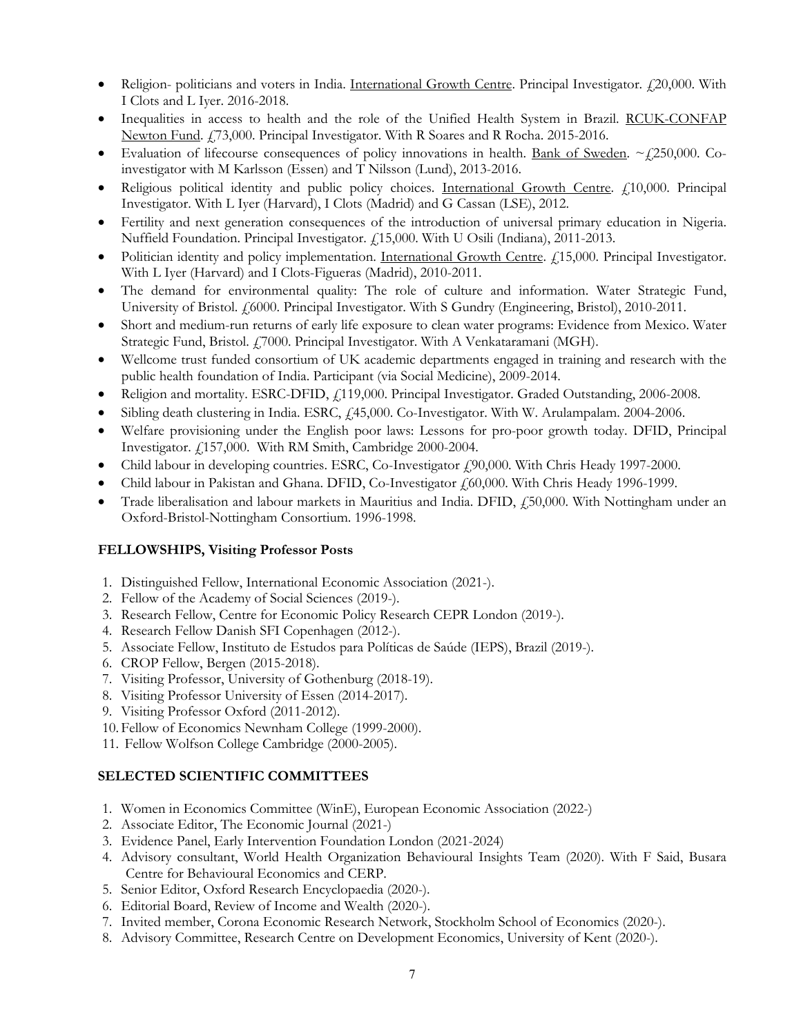- Religion- politicians and voters in India. International Growth Centre. Principal Investigator. £20,000. With I Clots and L Iyer. 2016-2018.
- Inequalities in access to health and the role of the Unified Health System in Brazil. RCUK-CONFAP Newton Fund. £73,000. Principal Investigator. With R Soares and R Rocha. 2015-2016.
- Evaluation of lifecourse consequences of policy innovations in health. Bank of Sweden.  $\sim$   $\ell$ 250,000. Coinvestigator with M Karlsson (Essen) and T Nilsson (Lund), 2013-2016.
- Religious political identity and public policy choices. International Growth Centre. £10,000. Principal Investigator. With L Iyer (Harvard), I Clots (Madrid) and G Cassan (LSE), 2012.
- Fertility and next generation consequences of the introduction of universal primary education in Nigeria. Nuffield Foundation. Principal Investigator. £15,000. With U Osili (Indiana), 2011-2013.
- Politician identity and policy implementation. International Growth Centre. £15,000. Principal Investigator. With L Iyer (Harvard) and I Clots-Figueras (Madrid), 2010-2011.
- The demand for environmental quality: The role of culture and information. Water Strategic Fund, University of Bristol. £6000. Principal Investigator. With S Gundry (Engineering, Bristol), 2010-2011.
- Short and medium-run returns of early life exposure to clean water programs: Evidence from Mexico. Water Strategic Fund, Bristol. £7000. Principal Investigator. With A Venkataramani (MGH).
- Wellcome trust funded consortium of UK academic departments engaged in training and research with the public health foundation of India. Participant (via Social Medicine), 2009-2014.
- Religion and mortality. ESRC-DFID,  $f_1$ 119,000. Principal Investigator. Graded Outstanding, 2006-2008.
- Sibling death clustering in India. ESRC, £45,000. Co-Investigator. With W. Arulampalam. 2004-2006.
- Welfare provisioning under the English poor laws: Lessons for pro-poor growth today. DFID, Principal Investigator. £157,000. With RM Smith, Cambridge 2000-2004.
- Child labour in developing countries. ESRC, Co-Investigator  $f$  90,000. With Chris Heady 1997-2000.
- Child labour in Pakistan and Ghana. DFID, Co-Investigator £60,000. With Chris Heady 1996-1999.
- Trade liberalisation and labour markets in Mauritius and India. DFID,  $f_1$ 50,000. With Nottingham under an Oxford-Bristol-Nottingham Consortium. 1996-1998.

# **FELLOWSHIPS, Visiting Professor Posts**

- 1. Distinguished Fellow, International Economic Association (2021-).
- 2. Fellow of the Academy of Social Sciences (2019-).
- 3. Research Fellow, Centre for Economic Policy Research CEPR London (2019-).
- 4. Research Fellow Danish SFI Copenhagen (2012-).
- 5. Associate Fellow, Instituto de Estudos para Políticas de Saúde (IEPS), Brazil (2019-).
- 6. CROP Fellow, Bergen (2015-2018).
- 7. Visiting Professor, University of Gothenburg (2018-19).
- 8. Visiting Professor University of Essen (2014-2017).
- 9. Visiting Professor Oxford (2011-2012).
- 10. Fellow of Economics Newnham College (1999-2000).
- 11. Fellow Wolfson College Cambridge (2000-2005).

# **SELECTED SCIENTIFIC COMMITTEES**

- 1. Women in Economics Committee (WinE), European Economic Association (2022-)
- 2. Associate Editor, The Economic Journal (2021-)
- 3. Evidence Panel, Early Intervention Foundation London (2021-2024)
- 4. Advisory consultant, World Health Organization Behavioural Insights Team (2020). With F Said, Busara Centre for Behavioural Economics and CERP.
- 5. Senior Editor, Oxford Research Encyclopaedia (2020-).
- 6. Editorial Board, Review of Income and Wealth (2020-).
- 7. Invited member, Corona Economic Research Network, Stockholm School of Economics (2020-).
- 8. Advisory Committee, Research Centre on Development Economics, University of Kent (2020-).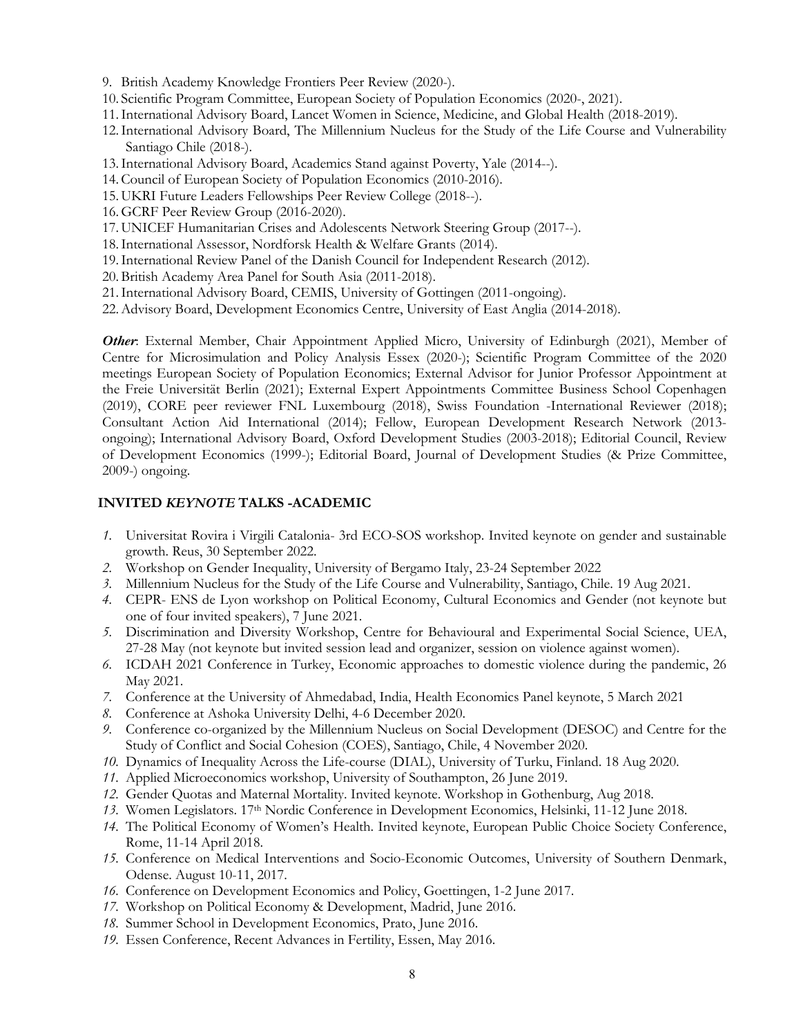- 9. British Academy Knowledge Frontiers Peer Review (2020-).
- 10. Scientific Program Committee, European Society of Population Economics (2020-, 2021).
- 11.International Advisory Board, Lancet Women in Science, Medicine, and Global Health (2018-2019).
- 12.International Advisory Board, The Millennium Nucleus for the Study of the Life Course and Vulnerability Santiago Chile (2018-).
- 13.International Advisory Board, Academics Stand against Poverty, Yale (2014--).
- 14.Council of European Society of Population Economics (2010-2016).
- 15. UKRI Future Leaders Fellowships Peer Review College (2018--).
- 16.GCRF Peer Review Group (2016-2020).
- 17. UNICEF Humanitarian Crises and Adolescents Network Steering Group (2017--).
- 18.International Assessor, Nordforsk Health & Welfare Grants (2014).
- 19.International Review Panel of the Danish Council for Independent Research (2012).
- 20.British Academy Area Panel for South Asia (2011-2018).
- 21.International Advisory Board, CEMIS, University of Gottingen (2011-ongoing).
- 22.Advisory Board, Development Economics Centre, University of East Anglia (2014-2018).

*Other*: External Member, Chair Appointment Applied Micro, University of Edinburgh (2021), Member of Centre for Microsimulation and Policy Analysis Essex (2020-); Scientific Program Committee of the 2020 meetings European Society of Population Economics; External Advisor for Junior Professor Appointment at the Freie Universität Berlin (2021); External Expert Appointments Committee Business School Copenhagen (2019), CORE peer reviewer FNL Luxembourg (2018), Swiss Foundation -International Reviewer (2018); Consultant Action Aid International (2014); Fellow, European Development Research Network (2013 ongoing); International Advisory Board, Oxford Development Studies (2003-2018); Editorial Council, Review of Development Economics (1999-); Editorial Board, Journal of Development Studies (& Prize Committee, 2009-) ongoing.

#### **INVITED** *KEYNOTE* **TALKS -ACADEMIC**

- *1.* Universitat Rovira i Virgili Catalonia- 3rd ECO-SOS workshop. Invited keynote on gender and sustainable growth. Reus, 30 September 2022.
- *2.* Workshop on Gender Inequality, University of Bergamo Italy, 23-24 September 2022
- *3.* Millennium Nucleus for the Study of the Life Course and Vulnerability, Santiago, Chile. 19 Aug 2021.
- *4.* CEPR- ENS de Lyon workshop on Political Economy, Cultural Economics and Gender (not keynote but one of four invited speakers), 7 June 2021.
- *5.* Discrimination and Diversity Workshop, Centre for Behavioural and Experimental Social Science, UEA, 27-28 May (not keynote but invited session lead and organizer, session on violence against women).
- *6.* ICDAH 2021 Conference in Turkey, Economic approaches to domestic violence during the pandemic, 26 May 2021.
- *7.* Conference at the University of Ahmedabad, India, Health Economics Panel keynote, 5 March 2021
- *8.* Conference at Ashoka University Delhi, 4-6 December 2020.
- *9.* Conference co-organized by the Millennium Nucleus on Social Development (DESOC) and Centre for the Study of Conflict and Social Cohesion (COES), Santiago, Chile, 4 November 2020.
- *10.* Dynamics of Inequality Across the Life-course (DIAL), University of Turku, Finland. 18 Aug 2020.
- *11.* Applied Microeconomics workshop, University of Southampton, 26 June 2019.
- *12.* Gender Quotas and Maternal Mortality. Invited keynote. Workshop in Gothenburg, Aug 2018.
- *13.* Women Legislators. 17th Nordic Conference in Development Economics, Helsinki, 11-12 June 2018.
- *14.* The Political Economy of Women's Health. Invited keynote, European Public Choice Society Conference, Rome, 11-14 April 2018.
- *15.* Conference on Medical Interventions and Socio-Economic Outcomes, University of Southern Denmark, Odense. August 10-11, 2017.
- *16.* Conference on Development Economics and Policy, Goettingen, 1-2 June 2017.
- *17.* Workshop on Political Economy & Development, Madrid, June 2016.
- *18.* Summer School in Development Economics, Prato, June 2016.
- *19.* Essen Conference, Recent Advances in Fertility, Essen, May 2016.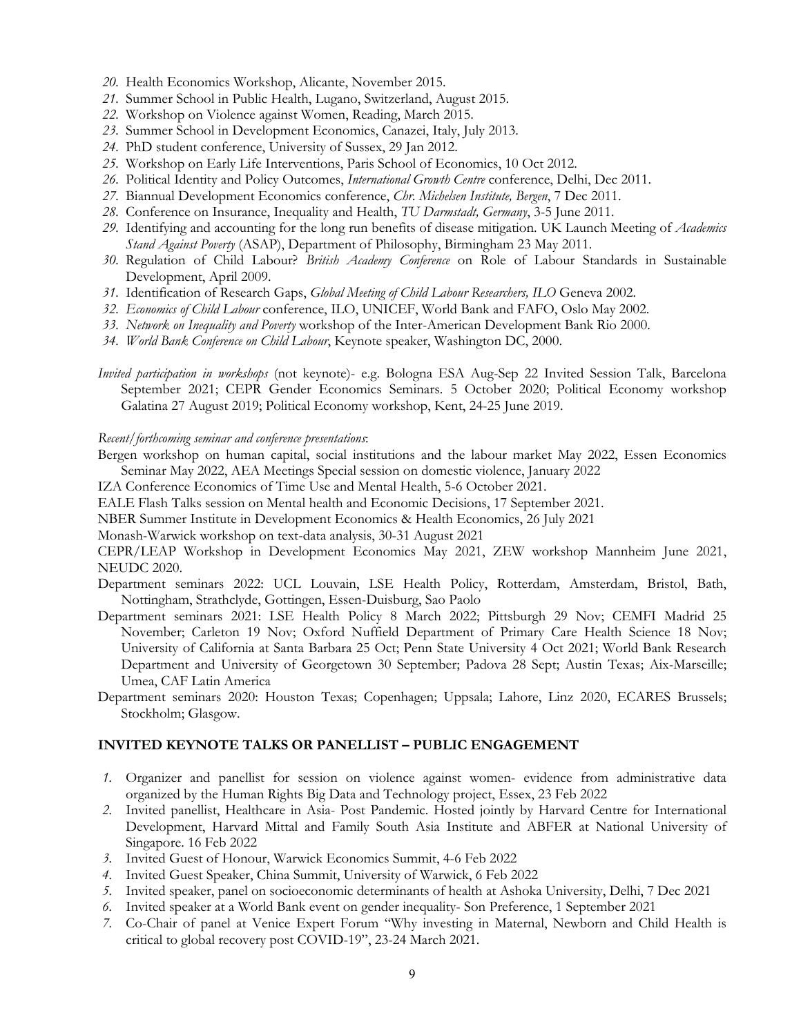- *20.* Health Economics Workshop, Alicante, November 2015.
- *21.* Summer School in Public Health, Lugano, Switzerland, August 2015.
- *22.* Workshop on Violence against Women, Reading, March 2015.
- *23.* Summer School in Development Economics, Canazei, Italy, July 2013.
- *24.* PhD student conference, University of Sussex, 29 Jan 2012.
- *25.* Workshop on Early Life Interventions, Paris School of Economics, 10 Oct 2012.
- *26.* Political Identity and Policy Outcomes, *International Growth Centre* conference, Delhi, Dec 2011.
- *27.* Biannual Development Economics conference, *Chr. Michelsen Institute, Bergen*, 7 Dec 2011.
- *28.* Conference on Insurance, Inequality and Health, *TU Darmstadt, Germany*, 3-5 June 2011.
- *29.* Identifying and accounting for the long run benefits of disease mitigation. UK Launch Meeting of *Academics Stand Against Poverty* (ASAP), Department of Philosophy, Birmingham 23 May 2011.
- *30.* Regulation of Child Labour? *British Academy Conference* on Role of Labour Standards in Sustainable Development, April 2009.
- *31.* Identification of Research Gaps, *Global Meeting of Child Labour Researchers, ILO* Geneva 2002.
- *32. Economics of Child Labour* conference, ILO, UNICEF, World Bank and FAFO, Oslo May 2002.
- *33. Network on Inequality and Poverty* workshop of the Inter-American Development Bank Rio 2000.
- *34. World Bank Conference on Child Labour*, Keynote speaker, Washington DC, 2000.
- *Invited participation in workshops* (not keynote)- e.g. Bologna ESA Aug-Sep 22 Invited Session Talk, Barcelona September 2021; CEPR Gender Economics Seminars. 5 October 2020; Political Economy workshop Galatina 27 August 2019; Political Economy workshop, Kent, 24-25 June 2019.

#### *Recent/forthcoming seminar and conference presentations*:

Bergen workshop on human capital, social institutions and the labour market May 2022, Essen Economics Seminar May 2022, AEA Meetings Special session on domestic violence, January 2022

IZA Conference Economics of Time Use and Mental Health, 5-6 October 2021.

- EALE Flash Talks session on Mental health and Economic Decisions, 17 September 2021.
- NBER Summer Institute in Development Economics & Health Economics, 26 July 2021

Monash-Warwick workshop on text-data analysis, 30-31 August 2021

CEPR/LEAP Workshop in Development Economics May 2021, ZEW workshop Mannheim June 2021, NEUDC 2020.

- Department seminars 2022: UCL Louvain, LSE Health Policy, Rotterdam, Amsterdam, Bristol, Bath, Nottingham, Strathclyde, Gottingen, Essen-Duisburg, Sao Paolo
- Department seminars 2021: LSE Health Policy 8 March 2022; Pittsburgh 29 Nov; CEMFI Madrid 25 November; Carleton 19 Nov; Oxford Nuffield Department of Primary Care Health Science 18 Nov; University of California at Santa Barbara 25 Oct; Penn State University 4 Oct 2021; World Bank Research Department and University of Georgetown 30 September; Padova 28 Sept; Austin Texas; Aix-Marseille; Umea, CAF Latin America
- Department seminars 2020: Houston Texas; Copenhagen; Uppsala; Lahore, Linz 2020, ECARES Brussels; Stockholm; Glasgow.

#### **INVITED KEYNOTE TALKS OR PANELLIST – PUBLIC ENGAGEMENT**

- *1.* Organizer and panellist for session on violence against women- evidence from administrative data organized by the Human Rights Big Data and Technology project, Essex, 23 Feb 2022
- *2.* Invited panellist, Healthcare in Asia- Post Pandemic. Hosted jointly by Harvard Centre for International Development, Harvard Mittal and Family South Asia Institute and ABFER at National University of Singapore. 16 Feb 2022
- *3.* Invited Guest of Honour, Warwick Economics Summit, 4-6 Feb 2022
- *4.* Invited Guest Speaker, China Summit, University of Warwick, 6 Feb 2022
- *5.* Invited speaker, panel on socioeconomic determinants of health at Ashoka University, Delhi, 7 Dec 2021
- *6.* Invited speaker at a World Bank event on gender inequality- Son Preference, 1 September 2021
- *7.* Co-Chair of panel at Venice Expert Forum "Why investing in Maternal, Newborn and Child Health is critical to global recovery post COVID-19", 23-24 March 2021.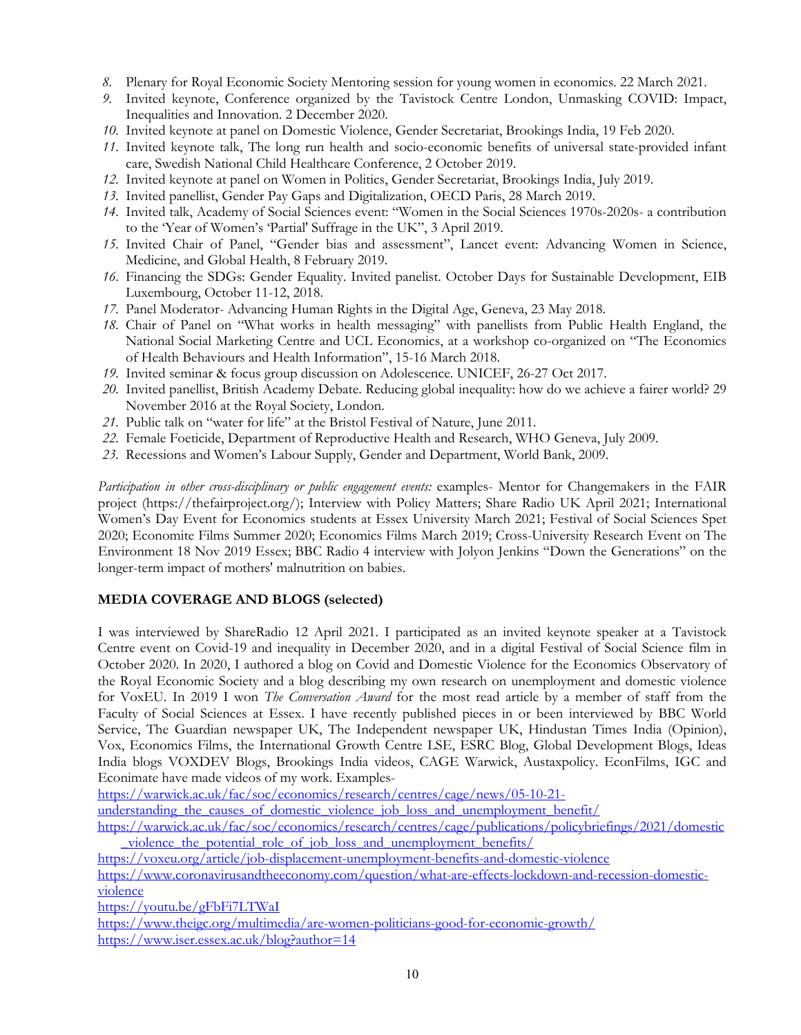- *8.* Plenary for Royal Economic Society Mentoring session for young women in economics. 22 March 2021.
- *9.* Invited keynote, Conference organized by the Tavistock Centre London, Unmasking COVID: Impact, Inequalities and Innovation. 2 December 2020.
- *10.* Invited keynote at panel on Domestic Violence, Gender Secretariat, Brookings India, 19 Feb 2020.
- *11.* Invited keynote talk, The long run health and socio-economic benefits of universal state-provided infant care, Swedish National Child Healthcare Conference, 2 October 2019.
- *12.* Invited keynote at panel on Women in Politics, Gender Secretariat, Brookings India, July 2019.
- *13.* Invited panellist, Gender Pay Gaps and Digitalization, OECD Paris, 28 March 2019.
- *14.* Invited talk, Academy of Social Sciences event: "Women in the Social Sciences 1970s-2020s- a contribution to the 'Year of Women's 'Partial' Suffrage in the UK", 3 April 2019.
- *15.* Invited Chair of Panel, "Gender bias and assessment", Lancet event: Advancing Women in Science, Medicine, and Global Health, 8 February 2019.
- *16.* Financing the SDGs: Gender Equality. Invited panelist. October Days for Sustainable Development, EIB Luxembourg, October 11-12, 2018.
- *17.* Panel Moderator- Advancing Human Rights in the Digital Age, Geneva, 23 May 2018.
- *18.* Chair of Panel on "What works in health messaging" with panellists from Public Health England, the National Social Marketing Centre and UCL Economics, at a workshop co-organized on "The Economics of Health Behaviours and Health Information", 15-16 March 2018.
- *19.* Invited seminar & focus group discussion on Adolescence. UNICEF, 26-27 Oct 2017.
- *20.* Invited panellist, British Academy Debate. Reducing global inequality: how do we achieve a fairer world? 29 November 2016 at the Royal Society, London.
- *21.* Public talk on "water for life" at the Bristol Festival of Nature, June 2011.
- *22.* Female Foeticide, Department of Reproductive Health and Research, WHO Geneva, July 2009.
- *23.* Recessions and Women's Labour Supply, Gender and Department, World Bank, 2009.

*Participation in other cross-disciplinary or public engagement events:* examples- Mentor for Changemakers in the FAIR project (https://thefairproject.org/); Interview with Policy Matters; Share Radio UK April 2021; International Women's Day Event for Economics students at Essex University March 2021; Festival of Social Sciences Spet 2020; Economite Films Summer 2020; Economics Films March 2019; Cross-University Research Event on The Environment 18 Nov 2019 Essex; BBC Radio 4 interview with Jolyon Jenkins "Down the Generations" on the longer-term impact of mothers' malnutrition on babies.

## **MEDIA COVERAGE AND BLOGS (selected)**

I was interviewed by ShareRadio 12 April 2021. I participated as an invited keynote speaker at a Tavistock Centre event on Covid-19 and inequality in December 2020, and in a digital Festival of Social Science film in October 2020. In 2020, I authored a blog on Covid and Domestic Violence for the Economics Observatory of the Royal Economic Society and a blog describing my own research on unemployment and domestic violence for VoxEU. In 2019 I won *The Conversation Award* for the most read article by a member of staff from the Faculty of Social Sciences at Essex. I have recently published pieces in or been interviewed by BBC World Service, The Guardian newspaper UK, The Independent newspaper UK, Hindustan Times India (Opinion), Vox, Economics Films, the International Growth Centre LSE, ESRC Blog, Global Development Blogs, Ideas India blogs VOXDEV Blogs, Brookings India videos, CAGE Warwick, Austaxpolicy. EconFilms, IGC and Econimate have made videos of my work. Examples-

https://warwick.ac.uk/fac/soc/economics/research/centres/cage/news/05-10-21-

understanding the causes of domestic violence job loss and unemployment benefit/

https://warwick.ac.uk/fac/soc/economics/research/centres/cage/publications/policybriefings/2021/domestic violence the potential role of job loss and unemployment benefits/

https://voxeu.org/article/job-displacement-unemployment-benefits-and-domestic-violence https://www.coronavirusandtheeconomy.com/question/what-are-effects-lockdown-and-recession-domesticviolence

https://youtu.be/gFbFi7LTWaI

https://www.theigc.org/multimedia/are-women-politicians-good-for-economic-growth/ https://www.iser.essex.ac.uk/blog?author=14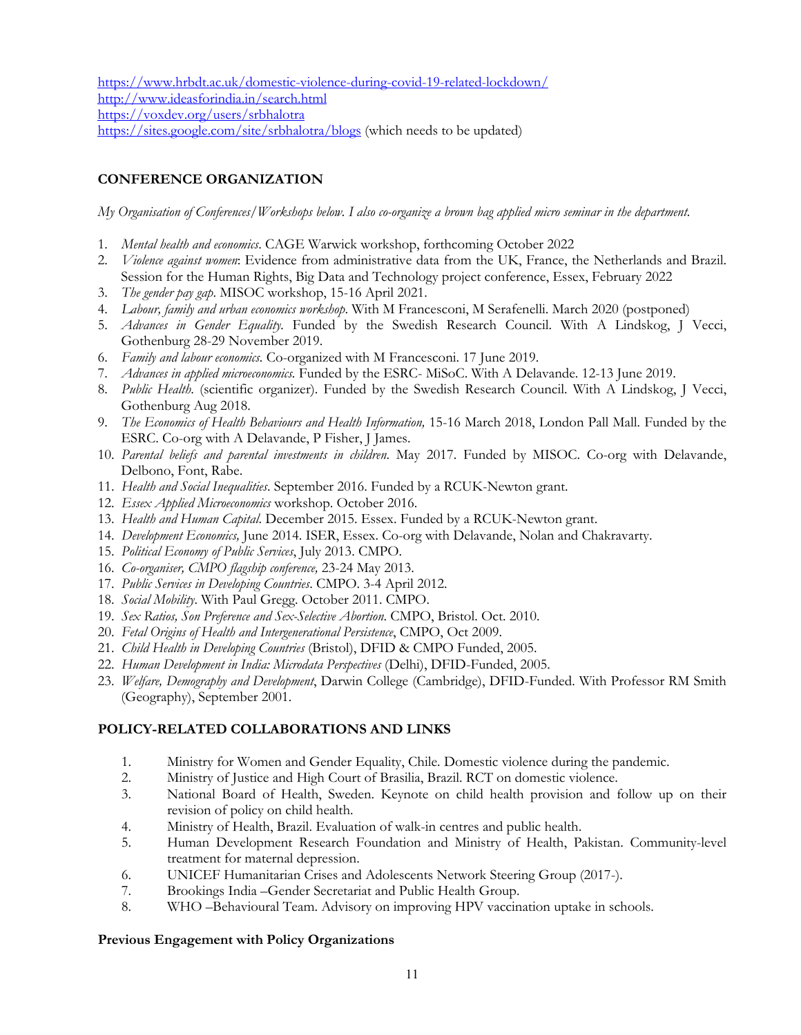https://www.hrbdt.ac.uk/domestic-violence-during-covid-19-related-lockdown/ http://www.ideasforindia.in/search.html https://voxdev.org/users/srbhalotra

https://sites.google.com/site/srbhalotra/blogs (which needs to be updated)

# **CONFERENCE ORGANIZATION**

*My Organisation of Conferences/Workshops below. I also co-organize a brown bag applied micro seminar in the department.*

- 1. *Mental health and economics*. CAGE Warwick workshop, forthcoming October 2022
- 2. *Violence against women*: Evidence from administrative data from the UK, France, the Netherlands and Brazil. Session for the Human Rights, Big Data and Technology project conference, Essex, February 2022
- 3. *The gender pay gap*. MISOC workshop, 15-16 April 2021.
- 4. *Labour, family and urban economics workshop*. With M Francesconi, M Serafenelli. March 2020 (postponed)
- 5. *Advances in Gender Equality.* Funded by the Swedish Research Council. With A Lindskog, J Vecci, Gothenburg 28-29 November 2019.
- 6. *Family and labour economics.* Co-organized with M Francesconi. 17 June 2019.
- 7. *Advances in applied microeconomics.* Funded by the ESRC- MiSoC. With A Delavande. 12-13 June 2019.
- 8. *Public Health*. (scientific organizer). Funded by the Swedish Research Council. With A Lindskog, J Vecci, Gothenburg Aug 2018.
- 9. *The Economics of Health Behaviours and Health Information,* 15-16 March 2018, London Pall Mall*.* Funded by the ESRC. Co-org with A Delavande, P Fisher, J James.
- 10. *Parental beliefs and parental investments in children*. May 2017. Funded by MISOC. Co-org with Delavande, Delbono, Font, Rabe.
- 11. *Health and Social Inequalities*. September 2016. Funded by a RCUK-Newton grant.
- 12. *Essex Applied Microeconomics* workshop. October 2016.
- 13. *Health and Human Capital*. December 2015. Essex. Funded by a RCUK-Newton grant.
- 14. *Development Economics,* June 2014. ISER, Essex. Co-org with Delavande, Nolan and Chakravarty.
- 15. *Political Economy of Public Services*, July 2013. CMPO.
- 16. *Co-organiser, CMPO flagship conference,* 23-24 May 2013.
- 17. *Public Services in Developing Countries*. CMPO. 3-4 April 2012.
- 18. *Social Mobility*. With Paul Gregg. October 2011. CMPO.
- 19. *Sex Ratios, Son Preference and Sex-Selective Abortion*. CMPO, Bristol. Oct. 2010.
- 20. *Fetal Origins of Health and Intergenerational Persistence*, CMPO, Oct 2009.
- 21. *Child Health in Developing Countries* (Bristol), DFID & CMPO Funded, 2005.
- 22. *Human Development in India: Microdata Perspectives* (Delhi), DFID-Funded, 2005.
- 23. *Welfare, Demography and Development*, Darwin College (Cambridge), DFID-Funded. With Professor RM Smith (Geography), September 2001.

## **POLICY-RELATED COLLABORATIONS AND LINKS**

- 1. Ministry for Women and Gender Equality, Chile. Domestic violence during the pandemic.
- 2. Ministry of Justice and High Court of Brasilia, Brazil. RCT on domestic violence.
- 3. National Board of Health, Sweden. Keynote on child health provision and follow up on their revision of policy on child health.
- 4. Ministry of Health, Brazil. Evaluation of walk-in centres and public health.
- 5. Human Development Research Foundation and Ministry of Health, Pakistan. Community-level treatment for maternal depression.
- 6. UNICEF Humanitarian Crises and Adolescents Network Steering Group (2017-).
- 7. Brookings India –Gender Secretariat and Public Health Group.
- 8. WHO –Behavioural Team. Advisory on improving HPV vaccination uptake in schools.

## **Previous Engagement with Policy Organizations**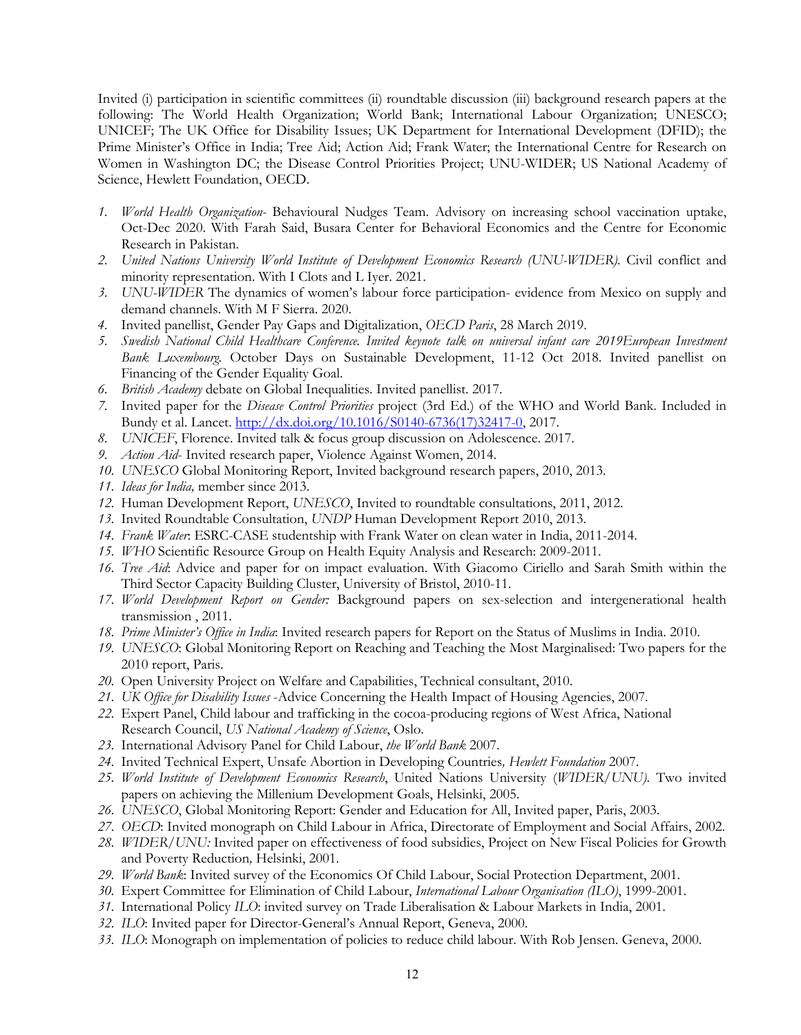Invited (i) participation in scientific committees (ii) roundtable discussion (iii) background research papers at the following: The World Health Organization; World Bank; International Labour Organization; UNESCO; UNICEF; The UK Office for Disability Issues; UK Department for International Development (DFID); the Prime Minister's Office in India; Tree Aid; Action Aid; Frank Water; the International Centre for Research on Women in Washington DC; the Disease Control Priorities Project; UNU-WIDER; US National Academy of Science, Hewlett Foundation, OECD.

- *1. World Health Organization-* Behavioural Nudges Team. Advisory on increasing school vaccination uptake, Oct-Dec 2020. With Farah Said, Busara Center for Behavioral Economics and the Centre for Economic Research in Pakistan.
- *2. United Nations University World Institute of Development Economics Research (UNU-WIDER).* Civil conflict and minority representation. With I Clots and L Iyer. 2021.
- *3. UNU-WIDER* The dynamics of women's labour force participation- evidence from Mexico on supply and demand channels. With M F Sierra. 2020.
- *4.* Invited panellist, Gender Pay Gaps and Digitalization, *OECD Paris*, 28 March 2019.
- *5. Swedish National Child Healthcare Conference. Invited keynote talk on universal infant care 2019European Investment Bank Luxembourg.* October Days on Sustainable Development, 11-12 Oct 2018. Invited panellist on Financing of the Gender Equality Goal.
- *6. British Academy* debate on Global Inequalities. Invited panellist. 2017.
- *7.* Invited paper for the *Disease Control Priorities* project (3rd Ed.) of the WHO and World Bank. Included in Bundy et al. Lancet. http://dx.doi.org/10.1016/S0140-6736(17)32417-0, 2017.
- *8. UNICEF*, Florence. Invited talk & focus group discussion on Adolescence. 2017.
- *9. Action Aid* Invited research paper, Violence Against Women, 2014.
- *10. UNESCO* Global Monitoring Report, Invited background research papers, 2010, 2013.
- *11. Ideas for India,* member since 2013.
- *12.* Human Development Report, *UNESCO*, Invited to roundtable consultations, 2011, 2012.
- *13.* Invited Roundtable Consultation, *UNDP* Human Development Report 2010, 2013.
- *14. Frank Water*: ESRC-CASE studentship with Frank Water on clean water in India, 2011-2014.
- *15. WHO* Scientific Resource Group on Health Equity Analysis and Research: 2009-2011.
- *16. Tree Aid*: Advice and paper for on impact evaluation. With Giacomo Ciriello and Sarah Smith within the Third Sector Capacity Building Cluster, University of Bristol, 2010-11.
- *17. World Development Report on Gender:* Background papers on sex-selection and intergenerational health transmission , 2011.
- *18. Prime Minister's Office in India*: Invited research papers for Report on the Status of Muslims in India. 2010.
- *19. UNESCO*: Global Monitoring Report on Reaching and Teaching the Most Marginalised: Two papers for the 2010 report, Paris.
- *20.* Open University Project on Welfare and Capabilities, Technical consultant, 2010.
- *21. UK Office for Disability Issues* -Advice Concerning the Health Impact of Housing Agencies, 2007.
- *22.* Expert Panel, Child labour and trafficking in the cocoa-producing regions of West Africa, National Research Council, *US National Academy of Science*, Oslo.
- *23.* International Advisory Panel for Child Labour, *the World Bank* 2007.
- *24.* Invited Technical Expert, Unsafe Abortion in Developing Countries*, Hewlett Foundation* 2007.
- *25. World Institute of Development Economics Research*, United Nations University (*WIDER/UNU)*. Two invited papers on achieving the Millenium Development Goals, Helsinki, 2005.
- *26. UNESCO*, Global Monitoring Report: Gender and Education for All, Invited paper, Paris, 2003.
- *27. OECD*: Invited monograph on Child Labour in Africa, Directorate of Employment and Social Affairs, 2002.
- *28. WIDER/UNU:* Invited paper on effectiveness of food subsidies, Project on New Fiscal Policies for Growth and Poverty Reduction*,* Helsinki, 2001.
- *29. World Bank*: Invited survey of the Economics Of Child Labour, Social Protection Department, 2001.
- *30.* Expert Committee for Elimination of Child Labour, *International Labour Organisation (ILO)*, 1999-2001.
- *31.* International Policy *ILO*: invited survey on Trade Liberalisation & Labour Markets in India, 2001.
- *32. ILO*: Invited paper for Director-General's Annual Report, Geneva, 2000.
- *33. ILO*: Monograph on implementation of policies to reduce child labour. With Rob Jensen. Geneva, 2000.